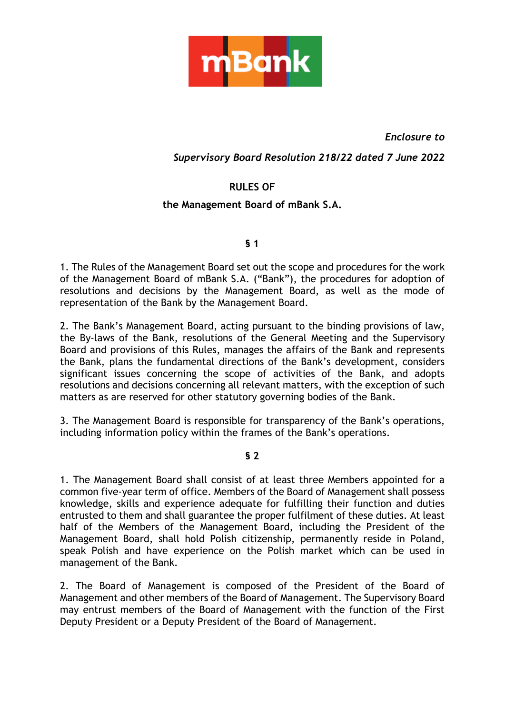

*Enclosure to*

# *Supervisory Board Resolution 218/22 dated 7 June 2022*

# **RULES OF**

## **the Management Board of mBank S.A.**

#### **§ 1**

1. The Rules of the Management Board set out the scope and procedures for the work of the Management Board of mBank S.A. ("Bank"), the procedures for adoption of resolutions and decisions by the Management Board, as well as the mode of representation of the Bank by the Management Board.

2. The Bank's Management Board, acting pursuant to the binding provisions of law, the By-laws of the Bank, resolutions of the General Meeting and the Supervisory Board and provisions of this Rules, manages the affairs of the Bank and represents the Bank, plans the fundamental directions of the Bank's development, considers significant issues concerning the scope of activities of the Bank, and adopts resolutions and decisions concerning all relevant matters, with the exception of such matters as are reserved for other statutory governing bodies of the Bank.

3. The Management Board is responsible for transparency of the Bank's operations, including information policy within the frames of the Bank's operations.

#### **§ 2**

1. The Management Board shall consist of at least three Members appointed for a common five-year term of office. Members of the Board of Management shall possess knowledge, skills and experience adequate for fulfilling their function and duties entrusted to them and shall guarantee the proper fulfilment of these duties. At least half of the Members of the Management Board, including the President of the Management Board, shall hold Polish citizenship, permanently reside in Poland, speak Polish and have experience on the Polish market which can be used in management of the Bank.

2. The Board of Management is composed of the President of the Board of Management and other members of the Board of Management. The Supervisory Board may entrust members of the Board of Management with the function of the First Deputy President or a Deputy President of the Board of Management.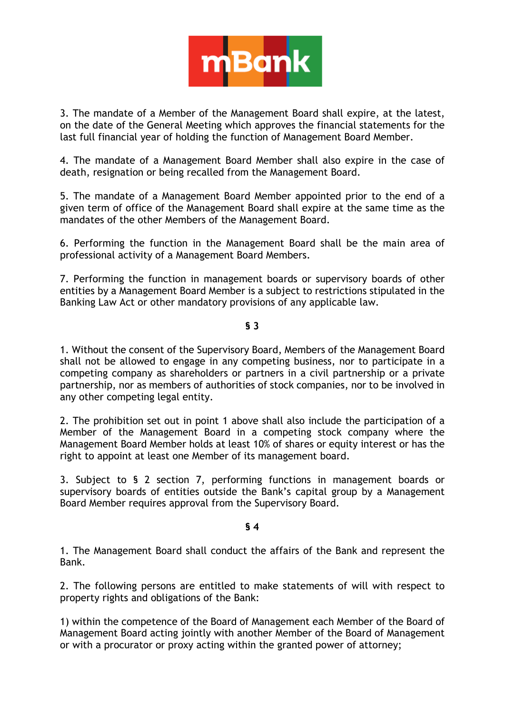

3. The mandate of a Member of the Management Board shall expire, at the latest, on the date of the General Meeting which approves the financial statements for the last full financial year of holding the function of Management Board Member.

4. The mandate of a Management Board Member shall also expire in the case of death, resignation or being recalled from the Management Board.

5. The mandate of a Management Board Member appointed prior to the end of a given term of office of the Management Board shall expire at the same time as the mandates of the other Members of the Management Board.

6. Performing the function in the Management Board shall be the main area of professional activity of a Management Board Members.

7. Performing the function in management boards or supervisory boards of other entities by a Management Board Member is a subject to restrictions stipulated in the Banking Law Act or other mandatory provisions of any applicable law.

## **§ 3**

1. Without the consent of the Supervisory Board, Members of the Management Board shall not be allowed to engage in any competing business, nor to participate in a competing company as shareholders or partners in a civil partnership or a private partnership, nor as members of authorities of stock companies, nor to be involved in any other competing legal entity.

2. The prohibition set out in point 1 above shall also include the participation of a Member of the Management Board in a competing stock company where the Management Board Member holds at least 10% of shares or equity interest or has the right to appoint at least one Member of its management board.

3. Subject to § 2 section 7, performing functions in management boards or supervisory boards of entities outside the Bank's capital group by a Management Board Member requires approval from the Supervisory Board.

## **§ 4**

1. The Management Board shall conduct the affairs of the Bank and represent the Bank.

2. The following persons are entitled to make statements of will with respect to property rights and obligations of the Bank:

1) within the competence of the Board of Management each Member of the Board of Management Board acting jointly with another Member of the Board of Management or with a procurator or proxy acting within the granted power of attorney;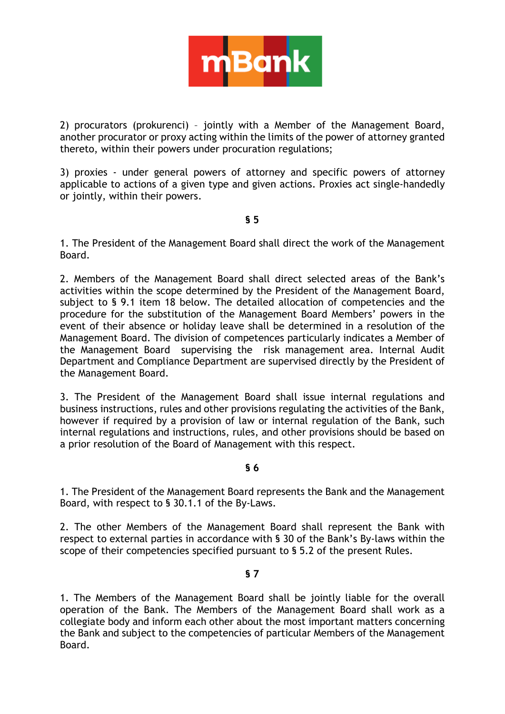

2) procurators (prokurenci) – jointly with a Member of the Management Board, another procurator or proxy acting within the limits of the power of attorney granted thereto, within their powers under procuration regulations;

3) proxies - under general powers of attorney and specific powers of attorney applicable to actions of a given type and given actions. Proxies act single-handedly or jointly, within their powers.

#### **§ 5**

1. The President of the Management Board shall direct the work of the Management Board.

2. Members of the Management Board shall direct selected areas of the Bank's activities within the scope determined by the President of the Management Board, subject to § 9.1 item 18 below. The detailed allocation of competencies and the procedure for the substitution of the Management Board Members' powers in the event of their absence or holiday leave shall be determined in a resolution of the Management Board. The division of competences particularly indicates a Member of the Management Board supervising the risk management area. Internal Audit Department and Compliance Department are supervised directly by the President of the Management Board.

3. The President of the Management Board shall issue internal regulations and business instructions, rules and other provisions regulating the activities of the Bank, however if required by a provision of law or internal regulation of the Bank, such internal regulations and instructions, rules, and other provisions should be based on a prior resolution of the Board of Management with this respect.

#### **§ 6**

1. The President of the Management Board represents the Bank and the Management Board, with respect to § 30.1.1 of the By-Laws.

2. The other Members of the Management Board shall represent the Bank with respect to external parties in accordance with § 30 of the Bank's By-laws within the scope of their competencies specified pursuant to § 5.2 of the present Rules.

#### **§ 7**

1. The Members of the Management Board shall be jointly liable for the overall operation of the Bank. The Members of the Management Board shall work as a collegiate body and inform each other about the most important matters concerning the Bank and subject to the competencies of particular Members of the Management Board.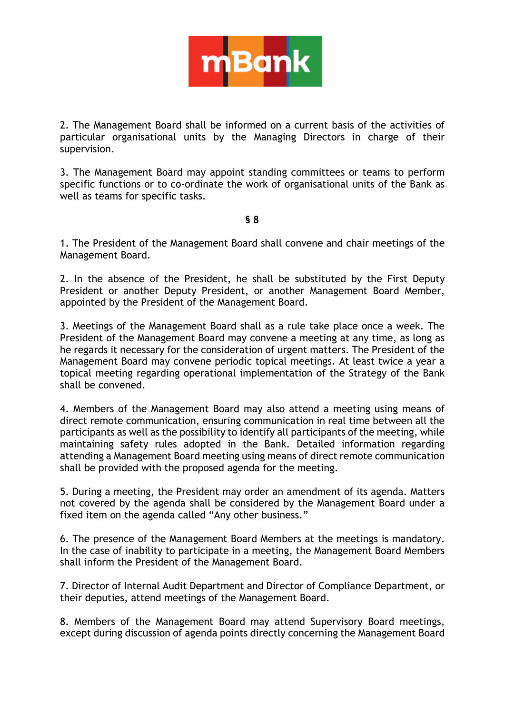

2. The Management Board shall be informed on a current basis of the activities of particular organisational units by the Managing Directors in charge of their supervision.

3. The Management Board may appoint standing committees or teams to perform specific functions or to co-ordinate the work of organisational units of the Bank as well as teams for specific tasks.

**§ 8**

1. The President of the Management Board shall convene and chair meetings of the Management Board.

2. In the absence of the President, he shall be substituted by the First Deputy President or another Deputy President, or another Management Board Member, appointed by the President of the Management Board.

3. Meetings of the Management Board shall as a rule take place once a week. The President of the Management Board may convene a meeting at any time, as long as he regards it necessary for the consideration of urgent matters. The President of the Management Board may convene periodic topical meetings. At least twice a year a topical meeting regarding operational implementation of the Strategy of the Bank shall be convened.

4. Members of the Management Board may also attend a meeting using means of direct remote communication, ensuring communication in real time between all the participants as well as the possibility to identify all participants of the meeting, while maintaining safety rules adopted in the Bank. Detailed information regarding attending a Management Board meeting using means of direct remote communication shall be provided with the proposed agenda for the meeting.

5. During a meeting, the President may order an amendment of its agenda. Matters not covered by the agenda shall be considered by the Management Board under a fixed item on the agenda called "Any other business."

6. The presence of the Management Board Members at the meetings is mandatory. In the case of inability to participate in a meeting, the Management Board Members shall inform the President of the Management Board.

7. Director of Internal Audit Department and Director of Compliance Department, or their deputies, attend meetings of the Management Board.

8. Members of the Management Board may attend Supervisory Board meetings, except during discussion of agenda points directly concerning the Management Board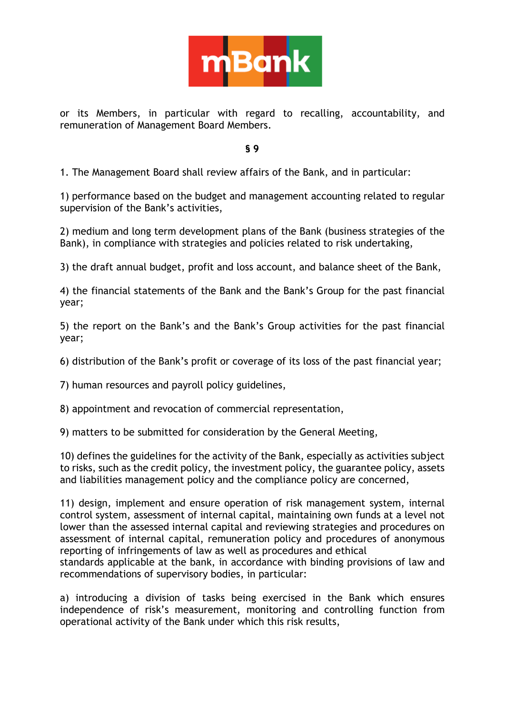

or its Members, in particular with regard to recalling, accountability, and remuneration of Management Board Members.

**§ 9**

1. The Management Board shall review affairs of the Bank, and in particular:

1) performance based on the budget and management accounting related to regular supervision of the Bank's activities,

2) medium and long term development plans of the Bank (business strategies of the Bank), in compliance with strategies and policies related to risk undertaking,

3) the draft annual budget, profit and loss account, and balance sheet of the Bank,

4) the financial statements of the Bank and the Bank's Group for the past financial year;

5) the report on the Bank's and the Bank's Group activities for the past financial year;

6) distribution of the Bank's profit or coverage of its loss of the past financial year;

7) human resources and payroll policy guidelines,

8) appointment and revocation of commercial representation,

9) matters to be submitted for consideration by the General Meeting,

10) defines the guidelines for the activity of the Bank, especially as activities subject to risks, such as the credit policy, the investment policy, the guarantee policy, assets and liabilities management policy and the compliance policy are concerned,

11) design, implement and ensure operation of risk management system, internal control system, assessment of internal capital, maintaining own funds at a level not lower than the assessed internal capital and reviewing strategies and procedures on assessment of internal capital, remuneration policy and procedures of anonymous reporting of infringements of law as well as procedures and ethical

standards applicable at the bank, in accordance with binding provisions of law and recommendations of supervisory bodies, in particular:

a) introducing a division of tasks being exercised in the Bank which ensures independence of risk's measurement, monitoring and controlling function from operational activity of the Bank under which this risk results,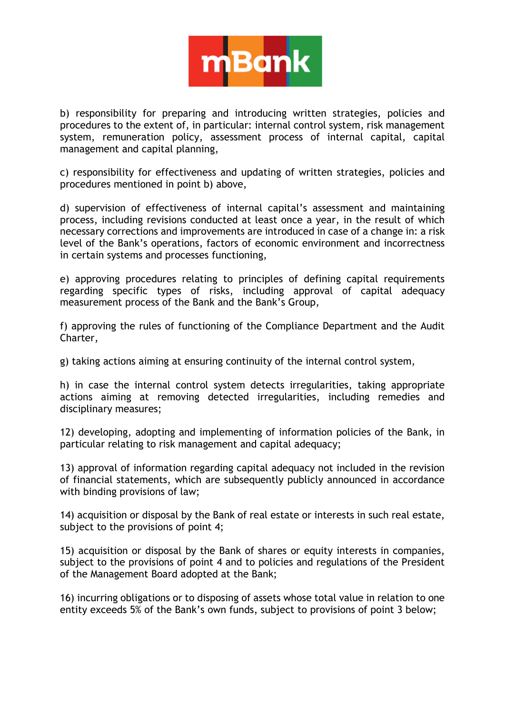

b) responsibility for preparing and introducing written strategies, policies and procedures to the extent of, in particular: internal control system, risk management system, remuneration policy, assessment process of internal capital, capital management and capital planning,

c) responsibility for effectiveness and updating of written strategies, policies and procedures mentioned in point b) above,

d) supervision of effectiveness of internal capital's assessment and maintaining process, including revisions conducted at least once a year, in the result of which necessary corrections and improvements are introduced in case of a change in: a risk level of the Bank's operations, factors of economic environment and incorrectness in certain systems and processes functioning,

e) approving procedures relating to principles of defining capital requirements regarding specific types of risks, including approval of capital adequacy measurement process of the Bank and the Bank's Group,

f) approving the rules of functioning of the Compliance Department and the Audit Charter,

g) taking actions aiming at ensuring continuity of the internal control system,

h) in case the internal control system detects irregularities, taking appropriate actions aiming at removing detected irregularities, including remedies and disciplinary measures;

12) developing, adopting and implementing of information policies of the Bank, in particular relating to risk management and capital adequacy;

13) approval of information regarding capital adequacy not included in the revision of financial statements, which are subsequently publicly announced in accordance with binding provisions of law;

14) acquisition or disposal by the Bank of real estate or interests in such real estate, subject to the provisions of point 4;

15) acquisition or disposal by the Bank of shares or equity interests in companies, subject to the provisions of point 4 and to policies and regulations of the President of the Management Board adopted at the Bank;

16) incurring obligations or to disposing of assets whose total value in relation to one entity exceeds 5% of the Bank's own funds, subject to provisions of point 3 below;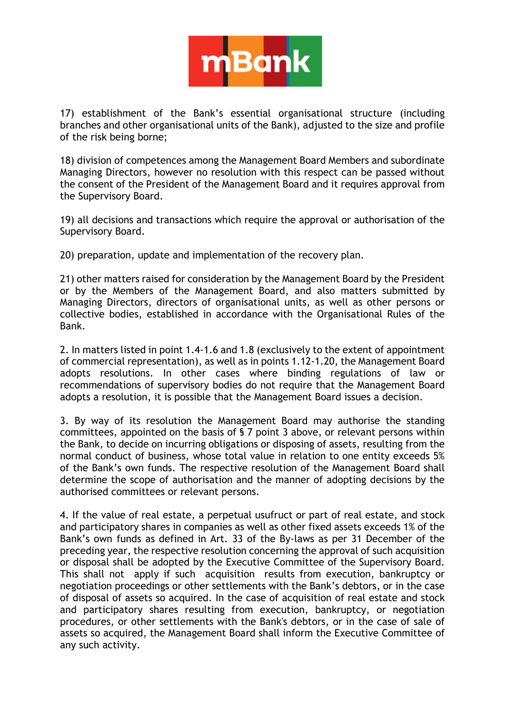

17) establishment of the Bank's essential organisational structure (including branches and other organisational units of the Bank), adjusted to the size and profile of the risk being borne;

18) division of competences among the Management Board Members and subordinate Managing Directors, however no resolution with this respect can be passed without the consent of the President of the Management Board and it requires approval from the Supervisory Board.

19) all decisions and transactions which require the approval or authorisation of the Supervisory Board.

20) preparation, update and implementation of the recovery plan.

21) other matters raised for consideration by the Management Board by the President or by the Members of the Management Board, and also matters submitted by Managing Directors, directors of organisational units, as well as other persons or collective bodies, established in accordance with the Organisational Rules of the Bank.

2. In matters listed in point 1.4-1.6 and 1.8 (exclusively to the extent of appointment of commercial representation), as well as in points 1.12-1.20, the Management Board adopts resolutions. In other cases where binding regulations of law or recommendations of supervisory bodies do not require that the Management Board adopts a resolution, it is possible that the Management Board issues a decision.

3. By way of its resolution the Management Board may authorise the standing committees, appointed on the basis of § 7 point 3 above, or relevant persons within the Bank, to decide on incurring obligations or disposing of assets, resulting from the normal conduct of business, whose total value in relation to one entity exceeds 5% of the Bank's own funds. The respective resolution of the Management Board shall determine the scope of authorisation and the manner of adopting decisions by the authorised committees or relevant persons.

4. If the value of real estate, a perpetual usufruct or part of real estate, and stock and participatory shares in companies as well as other fixed assets exceeds 1% of the Bank's own funds as defined in Art. 33 of the By-laws as per 31 December of the preceding year, the respective resolution concerning the approval of such acquisition or disposal shall be adopted by the Executive Committee of the Supervisory Board. This shall not apply if such acquisition results from execution, bankruptcy or negotiation proceedings or other settlements with the Bank's debtors, or in the case of disposal of assets so acquired. In the case of acquisition of real estate and stock and participatory shares resulting from execution, bankruptcy, or negotiation procedures, or other settlements with the Bank's debtors, or in the case of sale of assets so acquired, the Management Board shall inform the Executive Committee of any such activity.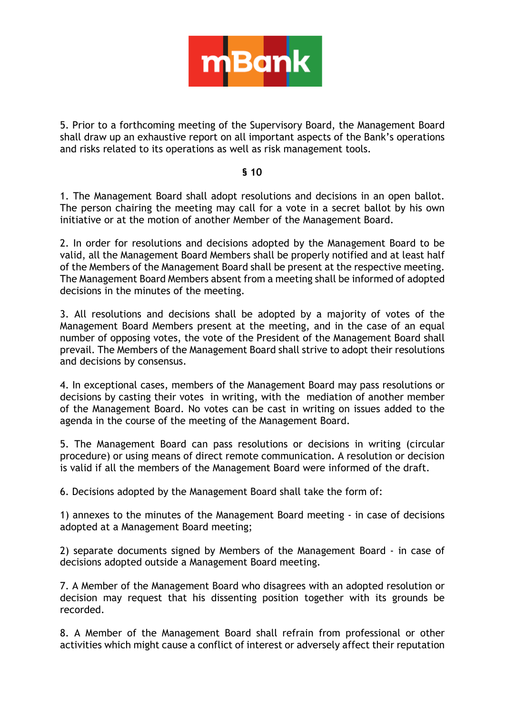

5. Prior to a forthcoming meeting of the Supervisory Board, the Management Board shall draw up an exhaustive report on all important aspects of the Bank's operations and risks related to its operations as well as risk management tools.

## **§ 10**

1. The Management Board shall adopt resolutions and decisions in an open ballot. The person chairing the meeting may call for a vote in a secret ballot by his own initiative or at the motion of another Member of the Management Board.

2. In order for resolutions and decisions adopted by the Management Board to be valid, all the Management Board Members shall be properly notified and at least half of the Members of the Management Board shall be present at the respective meeting. The Management Board Members absent from a meeting shall be informed of adopted decisions in the minutes of the meeting.

3. All resolutions and decisions shall be adopted by a majority of votes of the Management Board Members present at the meeting, and in the case of an equal number of opposing votes, the vote of the President of the Management Board shall prevail. The Members of the Management Board shall strive to adopt their resolutions and decisions by consensus.

4. In exceptional cases, members of the Management Board may pass resolutions or decisions by casting their votes in writing, with the mediation of another member of the Management Board. No votes can be cast in writing on issues added to the agenda in the course of the meeting of the Management Board.

5. The Management Board can pass resolutions or decisions in writing (circular procedure) or using means of direct remote communication. A resolution or decision is valid if all the members of the Management Board were informed of the draft.

6. Decisions adopted by the Management Board shall take the form of:

1) annexes to the minutes of the Management Board meeting - in case of decisions adopted at a Management Board meeting;

2) separate documents signed by Members of the Management Board - in case of decisions adopted outside a Management Board meeting.

7. A Member of the Management Board who disagrees with an adopted resolution or decision may request that his dissenting position together with its grounds be recorded.

8. A Member of the Management Board shall refrain from professional or other activities which might cause a conflict of interest or adversely affect their reputation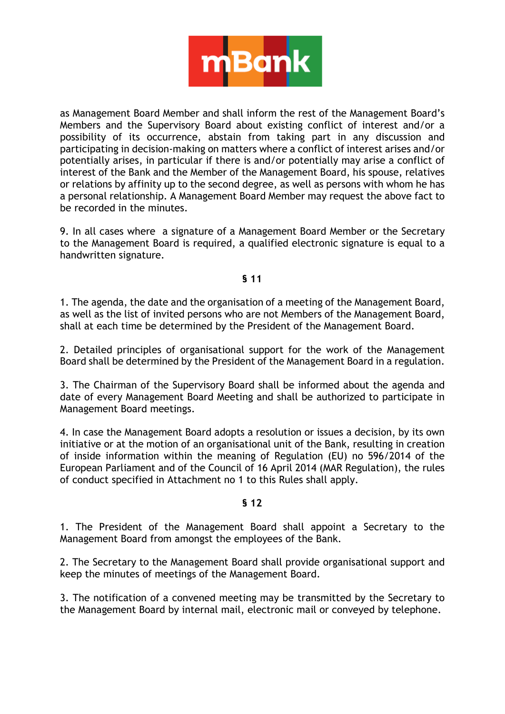

as Management Board Member and shall inform the rest of the Management Board's Members and the Supervisory Board about existing conflict of interest and/or a possibility of its occurrence, abstain from taking part in any discussion and participating in decision-making on matters where a conflict of interest arises and/or potentially arises, in particular if there is and/or potentially may arise a conflict of interest of the Bank and the Member of the Management Board, his spouse, relatives or relations by affinity up to the second degree, as well as persons with whom he has a personal relationship. A Management Board Member may request the above fact to be recorded in the minutes.

9. In all cases where a signature of a Management Board Member or the Secretary to the Management Board is required, a qualified electronic signature is equal to a handwritten signature.

### **§ 11**

1. The agenda, the date and the organisation of a meeting of the Management Board, as well as the list of invited persons who are not Members of the Management Board, shall at each time be determined by the President of the Management Board.

2. Detailed principles of organisational support for the work of the Management Board shall be determined by the President of the Management Board in a regulation.

3. The Chairman of the Supervisory Board shall be informed about the agenda and date of every Management Board Meeting and shall be authorized to participate in Management Board meetings.

4. In case the Management Board adopts a resolution or issues a decision, by its own initiative or at the motion of an organisational unit of the Bank, resulting in creation of inside information within the meaning of Regulation (EU) no 596/2014 of the European Parliament and of the Council of 16 April 2014 (MAR Regulation), the rules of conduct specified in Attachment no 1 to this Rules shall apply.

#### **§ 12**

1. The President of the Management Board shall appoint a Secretary to the Management Board from amongst the employees of the Bank.

2. The Secretary to the Management Board shall provide organisational support and keep the minutes of meetings of the Management Board.

3. The notification of a convened meeting may be transmitted by the Secretary to the Management Board by internal mail, electronic mail or conveyed by telephone.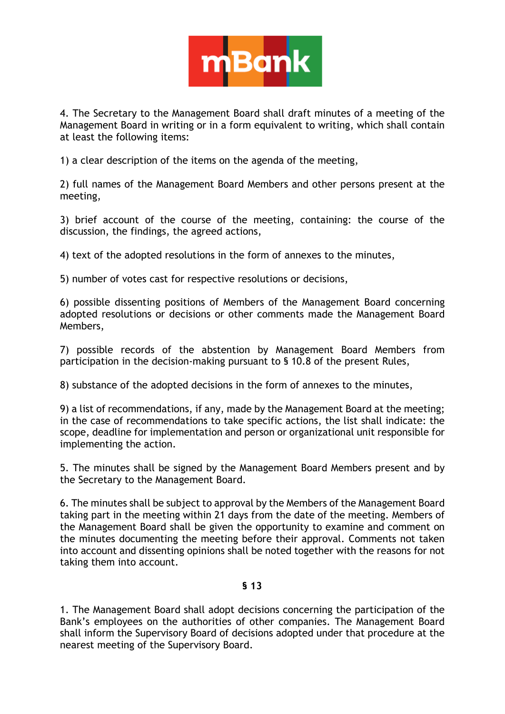

4. The Secretary to the Management Board shall draft minutes of a meeting of the Management Board in writing or in a form equivalent to writing, which shall contain at least the following items:

1) a clear description of the items on the agenda of the meeting,

2) full names of the Management Board Members and other persons present at the meeting,

3) brief account of the course of the meeting, containing: the course of the discussion, the findings, the agreed actions,

4) text of the adopted resolutions in the form of annexes to the minutes,

5) number of votes cast for respective resolutions or decisions,

6) possible dissenting positions of Members of the Management Board concerning adopted resolutions or decisions or other comments made the Management Board Members,

7) possible records of the abstention by Management Board Members from participation in the decision-making pursuant to § 10.8 of the present Rules,

8) substance of the adopted decisions in the form of annexes to the minutes,

9) a list of recommendations, if any, made by the Management Board at the meeting; in the case of recommendations to take specific actions, the list shall indicate: the scope, deadline for implementation and person or organizational unit responsible for implementing the action.

5. The minutes shall be signed by the Management Board Members present and by the Secretary to the Management Board.

6. The minutes shall be subject to approval by the Members of the Management Board taking part in the meeting within 21 days from the date of the meeting. Members of the Management Board shall be given the opportunity to examine and comment on the minutes documenting the meeting before their approval. Comments not taken into account and dissenting opinions shall be noted together with the reasons for not taking them into account.

## **§ 13**

1. The Management Board shall adopt decisions concerning the participation of the Bank's employees on the authorities of other companies. The Management Board shall inform the Supervisory Board of decisions adopted under that procedure at the nearest meeting of the Supervisory Board.